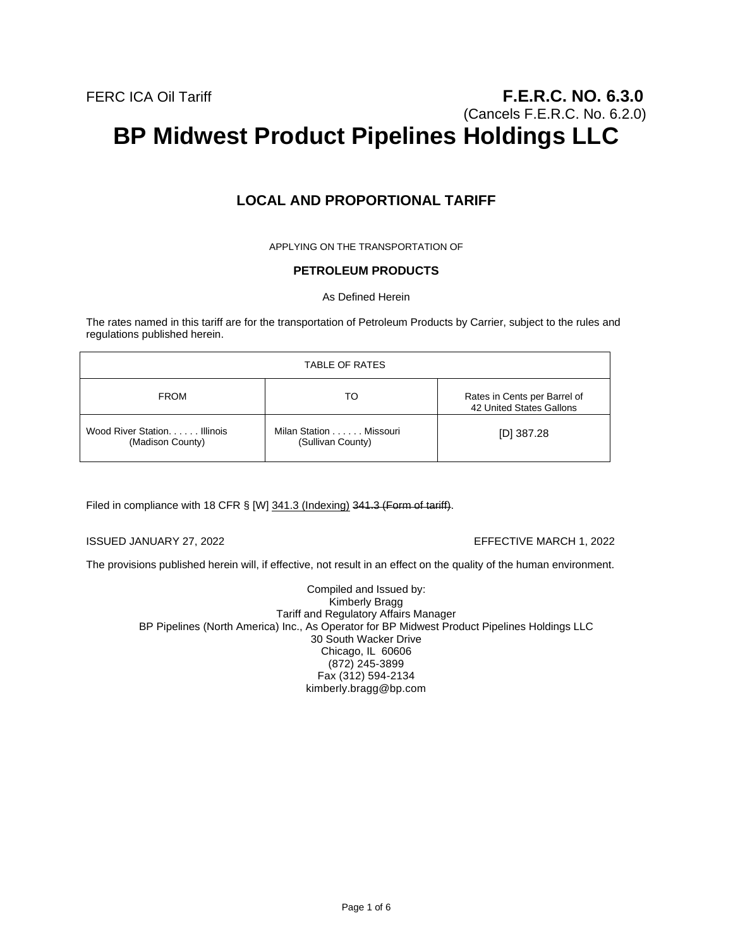# **LOCAL AND PROPORTIONAL TARIFF**

APPLYING ON THE TRANSPORTATION OF

# **PETROLEUM PRODUCTS**

As Defined Herein

The rates named in this tariff are for the transportation of Petroleum Products by Carrier, subject to the rules and regulations published herein.

| TABLE OF RATES                                   |                                             |                                                          |
|--------------------------------------------------|---------------------------------------------|----------------------------------------------------------|
| <b>FROM</b>                                      | TO                                          | Rates in Cents per Barrel of<br>42 United States Gallons |
| Wood River Station. Illinois<br>(Madison County) | Milan Station Missouri<br>(Sullivan County) | [D] $387.28$                                             |

Filed in compliance with 18 CFR § [W] 341.3 (Indexing) 341.3 (Form of tariff).

ISSUED JANUARY 27, 2022 EFFECTIVE MARCH 1, 2022

The provisions published herein will, if effective, not result in an effect on the quality of the human environment.

Compiled and Issued by: Kimberly Bragg Tariff and Regulatory Affairs Manager BP Pipelines (North America) Inc., As Operator for BP Midwest Product Pipelines Holdings LLC 30 South Wacker Drive Chicago, IL 60606 (872) 245-3899 Fax (312) 594-2134 kimberly.bragg@bp.com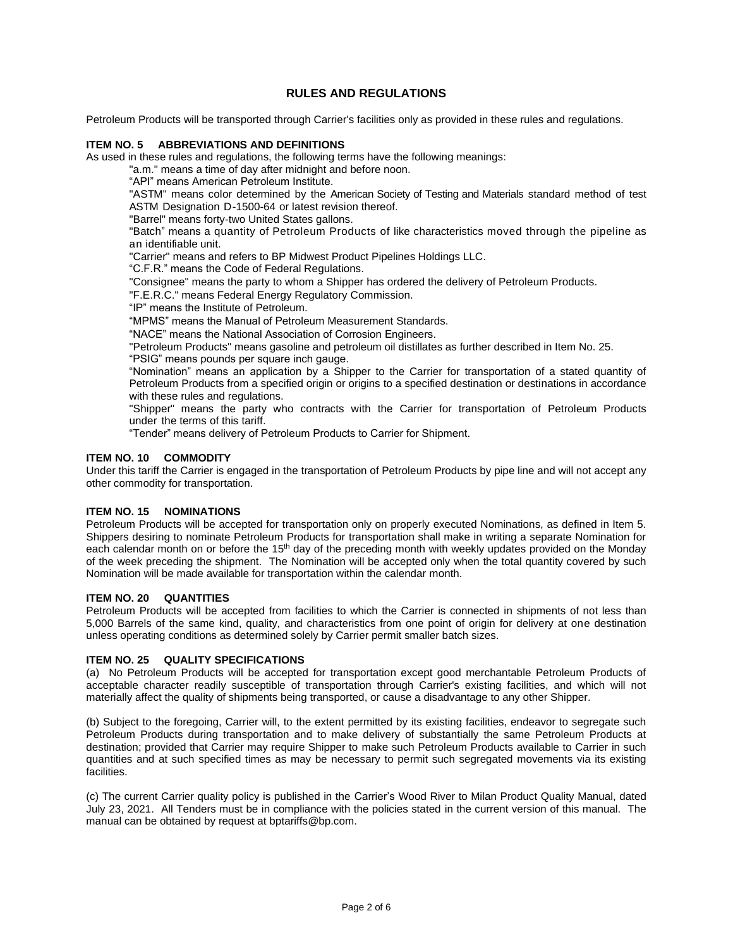# **RULES AND REGULATIONS**

Petroleum Products will be transported through Carrier's facilities only as provided in these rules and regulations.

## **ITEM NO. 5 ABBREVIATIONS AND DEFINITIONS**

As used in these rules and regulations, the following terms have the following meanings:

"a.m." means a time of day after midnight and before noon.

"API" means American Petroleum Institute.

"ASTM" means color determined by the American Society of Testing and Materials standard method of test ASTM Designation D-1500-64 or latest revision thereof.

"Barrel" means forty-two United States gallons.

"Batch" means a quantity of Petroleum Products of like characteristics moved through the pipeline as an identifiable unit.

"Carrier" means and refers to BP Midwest Product Pipelines Holdings LLC.

"C.F.R." means the Code of Federal Regulations.

"Consignee" means the party to whom a Shipper has ordered the delivery of Petroleum Products.

"F.E.R.C." means Federal Energy Regulatory Commission.

"IP" means the Institute of Petroleum.

"MPMS" means the Manual of Petroleum Measurement Standards.

"NACE" means the National Association of Corrosion Engineers.

"Petroleum Products" means gasoline and petroleum oil distillates as further described in Item No. 25.

"PSIG" means pounds per square inch gauge.

"Nomination" means an application by a Shipper to the Carrier for transportation of a stated quantity of Petroleum Products from a specified origin or origins to a specified destination or destinations in accordance with these rules and regulations.

"Shipper" means the party who contracts with the Carrier for transportation of Petroleum Products under the terms of this tariff.

"Tender" means delivery of Petroleum Products to Carrier for Shipment.

## **ITEM NO. 10 COMMODITY**

Under this tariff the Carrier is engaged in the transportation of Petroleum Products by pipe line and will not accept any other commodity for transportation.

# **ITEM NO. 15 NOMINATIONS**

Petroleum Products will be accepted for transportation only on properly executed Nominations, as defined in Item 5. Shippers desiring to nominate Petroleum Products for transportation shall make in writing a separate Nomination for each calendar month on or before the 15<sup>th</sup> day of the preceding month with weekly updates provided on the Monday of the week preceding the shipment. The Nomination will be accepted only when the total quantity covered by such Nomination will be made available for transportation within the calendar month.

#### **ITEM NO. 20 QUANTITIES**

Petroleum Products will be accepted from facilities to which the Carrier is connected in shipments of not less than 5,000 Barrels of the same kind, quality, and characteristics from one point of origin for delivery at one destination unless operating conditions as determined solely by Carrier permit smaller batch sizes.

## **ITEM NO. 25 QUALITY SPECIFICATIONS**

(a) No Petroleum Products will be accepted for transportation except good merchantable Petroleum Products of acceptable character readily susceptible of transportation through Carrier's existing facilities, and which will not materially affect the quality of shipments being transported, or cause a disadvantage to any other Shipper.

(b) Subject to the foregoing, Carrier will, to the extent permitted by its existing facilities, endeavor to segregate such Petroleum Products during transportation and to make delivery of substantially the same Petroleum Products at destination; provided that Carrier may require Shipper to make such Petroleum Products available to Carrier in such quantities and at such specified times as may be necessary to permit such segregated movements via its existing facilities.

(c) The current Carrier quality policy is published in the Carrier's Wood River to Milan Product Quality Manual, dated July 23, 2021. All Tenders must be in compliance with the policies stated in the current version of this manual. The manual can be obtained by request at bptariffs@bp.com.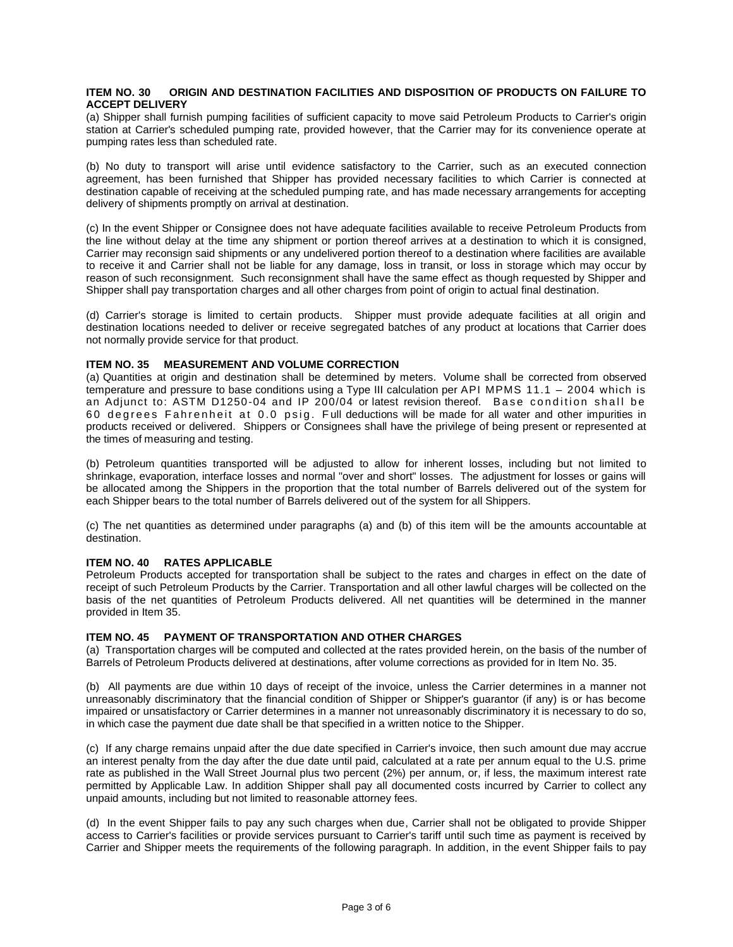#### **ITEM NO. 30 ORIGIN AND DESTINATION FACILITIES AND DISPOSITION OF PRODUCTS ON FAILURE TO ACCEPT DELIVERY**

(a) Shipper shall furnish pumping facilities of sufficient capacity to move said Petroleum Products to Carrier's origin station at Carrier's scheduled pumping rate, provided however, that the Carrier may for its convenience operate at pumping rates less than scheduled rate.

(b) No duty to transport will arise until evidence satisfactory to the Carrier, such as an executed connection agreement, has been furnished that Shipper has provided necessary facilities to which Carrier is connected at destination capable of receiving at the scheduled pumping rate, and has made necessary arrangements for accepting delivery of shipments promptly on arrival at destination.

(c) In the event Shipper or Consignee does not have adequate facilities available to receive Petroleum Products from the line without delay at the time any shipment or portion thereof arrives at a destination to which it is consigned, Carrier may reconsign said shipments or any undelivered portion thereof to a destination where facilities are available to receive it and Carrier shall not be liable for any damage, loss in transit, or loss in storage which may occur by reason of such reconsignment. Such reconsignment shall have the same effect as though requested by Shipper and Shipper shall pay transportation charges and all other charges from point of origin to actual final destination.

(d) Carrier's storage is limited to certain products. Shipper must provide adequate facilities at all origin and destination locations needed to deliver or receive segregated batches of any product at locations that Carrier does not normally provide service for that product.

# **ITEM NO. 35 MEASUREMENT AND VOLUME CORRECTION**

(a) Quantities at origin and destination shall be determined by meters. Volume shall be corrected from observed temperature and pressure to base conditions using a Type III calculation per API MPMS 11.1 – 2004 which is an Adjunct to: ASTM D1250-04 and IP 200/04 or latest revision thereof. Base condition shall be 60 degrees Fahrenheit at 0.0 psig. Full deductions will be made for all water and other impurities in products received or delivered. Shippers or Consignees shall have the privilege of being present or represented at the times of measuring and testing.

(b) Petroleum quantities transported will be adjusted to allow for inherent losses, including but not limited to shrinkage, evaporation, interface losses and normal "over and short" losses. The adjustment for losses or gains will be allocated among the Shippers in the proportion that the total number of Barrels delivered out of the system for each Shipper bears to the total number of Barrels delivered out of the system for all Shippers.

(c) The net quantities as determined under paragraphs (a) and (b) of this item will be the amounts accountable at destination.

## **ITEM NO. 40 RATES APPLICABLE**

Petroleum Products accepted for transportation shall be subject to the rates and charges in effect on the date of receipt of such Petroleum Products by the Carrier. Transportation and all other lawful charges will be collected on the basis of the net quantities of Petroleum Products delivered. All net quantities will be determined in the manner provided in Item 35.

## **ITEM NO. 45 PAYMENT OF TRANSPORTATION AND OTHER CHARGES**

(a) Transportation charges will be computed and collected at the rates provided herein, on the basis of the number of Barrels of Petroleum Products delivered at destinations, after volume corrections as provided for in Item No. 35.

(b) All payments are due within 10 days of receipt of the invoice, unless the Carrier determines in a manner not unreasonably discriminatory that the financial condition of Shipper or Shipper's guarantor (if any) is or has become impaired or unsatisfactory or Carrier determines in a manner not unreasonably discriminatory it is necessary to do so, in which case the payment due date shall be that specified in a written notice to the Shipper.

(c) If any charge remains unpaid after the due date specified in Carrier's invoice, then such amount due may accrue an interest penalty from the day after the due date until paid, calculated at a rate per annum equal to the U.S. prime rate as published in the Wall Street Journal plus two percent (2%) per annum, or, if less, the maximum interest rate permitted by Applicable Law. In addition Shipper shall pay all documented costs incurred by Carrier to collect any unpaid amounts, including but not limited to reasonable attorney fees.

(d) In the event Shipper fails to pay any such charges when due, Carrier shall not be obligated to provide Shipper access to Carrier's facilities or provide services pursuant to Carrier's tariff until such time as payment is received by Carrier and Shipper meets the requirements of the following paragraph. In addition, in the event Shipper fails to pay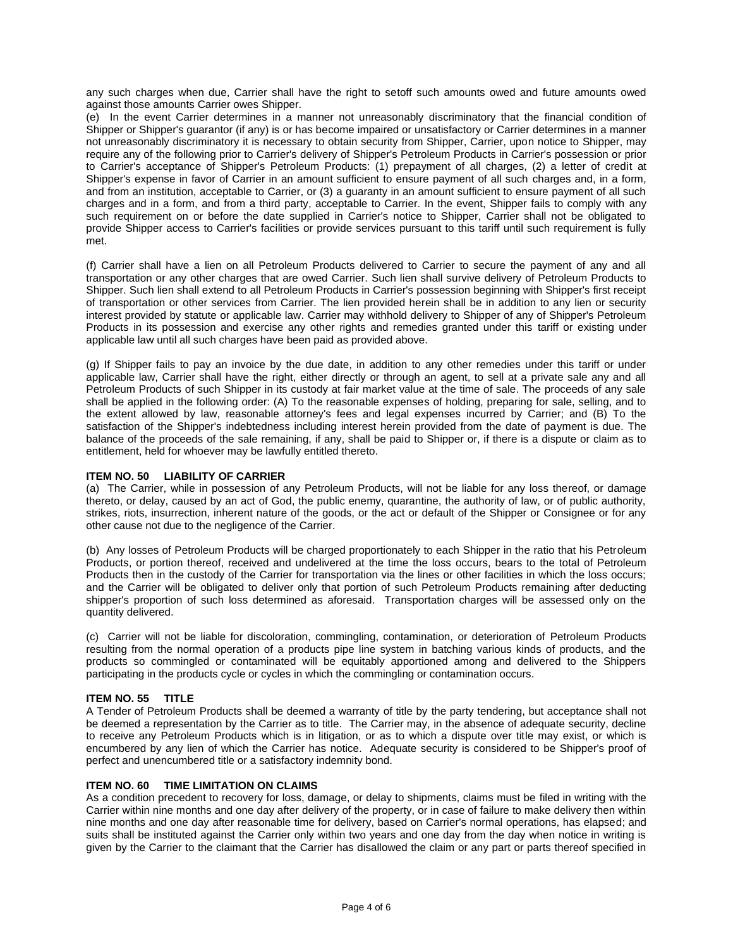any such charges when due, Carrier shall have the right to setoff such amounts owed and future amounts owed against those amounts Carrier owes Shipper.

(e) In the event Carrier determines in a manner not unreasonably discriminatory that the financial condition of Shipper or Shipper's guarantor (if any) is or has become impaired or unsatisfactory or Carrier determines in a manner not unreasonably discriminatory it is necessary to obtain security from Shipper, Carrier, upon notice to Shipper, may require any of the following prior to Carrier's delivery of Shipper's Petroleum Products in Carrier's possession or prior to Carrier's acceptance of Shipper's Petroleum Products: (1) prepayment of all charges, (2) a letter of credit at Shipper's expense in favor of Carrier in an amount sufficient to ensure payment of all such charges and, in a form, and from an institution, acceptable to Carrier, or (3) a guaranty in an amount sufficient to ensure payment of all such charges and in a form, and from a third party, acceptable to Carrier. In the event, Shipper fails to comply with any such requirement on or before the date supplied in Carrier's notice to Shipper, Carrier shall not be obligated to provide Shipper access to Carrier's facilities or provide services pursuant to this tariff until such requirement is fully met.

(f) Carrier shall have a lien on all Petroleum Products delivered to Carrier to secure the payment of any and all transportation or any other charges that are owed Carrier. Such lien shall survive delivery of Petroleum Products to Shipper. Such lien shall extend to all Petroleum Products in Carrier's possession beginning with Shipper's first receipt of transportation or other services from Carrier. The lien provided herein shall be in addition to any lien or security interest provided by statute or applicable law. Carrier may withhold delivery to Shipper of any of Shipper's Petroleum Products in its possession and exercise any other rights and remedies granted under this tariff or existing under applicable law until all such charges have been paid as provided above.

(g) If Shipper fails to pay an invoice by the due date, in addition to any other remedies under this tariff or under applicable law, Carrier shall have the right, either directly or through an agent, to sell at a private sale any and all Petroleum Products of such Shipper in its custody at fair market value at the time of sale. The proceeds of any sale shall be applied in the following order: (A) To the reasonable expenses of holding, preparing for sale, selling, and to the extent allowed by law, reasonable attorney's fees and legal expenses incurred by Carrier; and (B) To the satisfaction of the Shipper's indebtedness including interest herein provided from the date of payment is due. The balance of the proceeds of the sale remaining, if any, shall be paid to Shipper or, if there is a dispute or claim as to entitlement, held for whoever may be lawfully entitled thereto.

#### **ITEM NO. 50 LIABILITY OF CARRIER**

(a) The Carrier, while in possession of any Petroleum Products, will not be liable for any loss thereof, or damage thereto, or delay, caused by an act of God, the public enemy, quarantine, the authority of law, or of public authority, strikes, riots, insurrection, inherent nature of the goods, or the act or default of the Shipper or Consignee or for any other cause not due to the negligence of the Carrier.

(b) Any losses of Petroleum Products will be charged proportionately to each Shipper in the ratio that his Petroleum Products, or portion thereof, received and undelivered at the time the loss occurs, bears to the total of Petroleum Products then in the custody of the Carrier for transportation via the lines or other facilities in which the loss occurs; and the Carrier will be obligated to deliver only that portion of such Petroleum Products remaining after deducting shipper's proportion of such loss determined as aforesaid. Transportation charges will be assessed only on the quantity delivered.

(c) Carrier will not be liable for discoloration, commingling, contamination, or deterioration of Petroleum Products resulting from the normal operation of a products pipe line system in batching various kinds of products, and the products so commingled or contaminated will be equitably apportioned among and delivered to the Shippers participating in the products cycle or cycles in which the commingling or contamination occurs.

## **ITEM NO. 55 TITLE**

A Tender of Petroleum Products shall be deemed a warranty of title by the party tendering, but acceptance shall not be deemed a representation by the Carrier as to title. The Carrier may, in the absence of adequate security, decline to receive any Petroleum Products which is in litigation, or as to which a dispute over title may exist, or which is encumbered by any lien of which the Carrier has notice. Adequate security is considered to be Shipper's proof of perfect and unencumbered title or a satisfactory indemnity bond.

## **ITEM NO. 60 TIME LIMITATION ON CLAIMS**

As a condition precedent to recovery for loss, damage, or delay to shipments, claims must be filed in writing with the Carrier within nine months and one day after delivery of the property, or in case of failure to make delivery then within nine months and one day after reasonable time for delivery, based on Carrier's normal operations, has elapsed; and suits shall be instituted against the Carrier only within two years and one day from the day when notice in writing is given by the Carrier to the claimant that the Carrier has disallowed the claim or any part or parts thereof specified in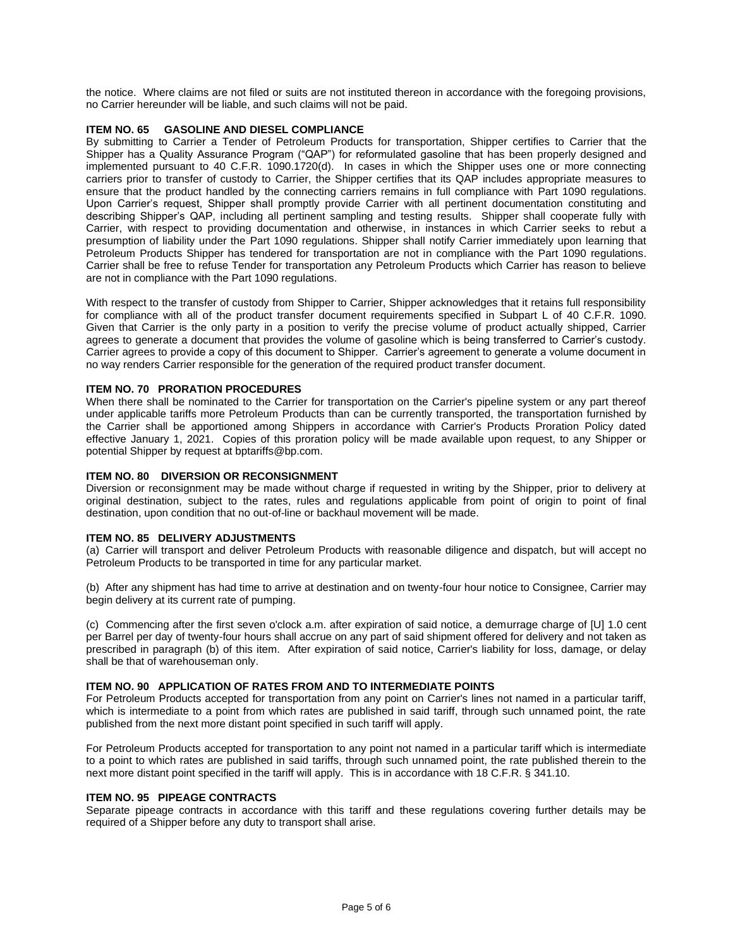the notice. Where claims are not filed or suits are not instituted thereon in accordance with the foregoing provisions, no Carrier hereunder will be liable, and such claims will not be paid.

#### **ITEM NO. 65 GASOLINE AND DIESEL COMPLIANCE**

By submitting to Carrier a Tender of Petroleum Products for transportation, Shipper certifies to Carrier that the Shipper has a Quality Assurance Program ("QAP") for reformulated gasoline that has been properly designed and implemented pursuant to 40 C.F.R. 1090.1720(d). In cases in which the Shipper uses one or more connecting carriers prior to transfer of custody to Carrier, the Shipper certifies that its QAP includes appropriate measures to ensure that the product handled by the connecting carriers remains in full compliance with Part 1090 regulations. Upon Carrier's request, Shipper shall promptly provide Carrier with all pertinent documentation constituting and describing Shipper's QAP, including all pertinent sampling and testing results. Shipper shall cooperate fully with Carrier, with respect to providing documentation and otherwise, in instances in which Carrier seeks to rebut a presumption of liability under the Part 1090 regulations. Shipper shall notify Carrier immediately upon learning that Petroleum Products Shipper has tendered for transportation are not in compliance with the Part 1090 regulations. Carrier shall be free to refuse Tender for transportation any Petroleum Products which Carrier has reason to believe are not in compliance with the Part 1090 regulations.

With respect to the transfer of custody from Shipper to Carrier, Shipper acknowledges that it retains full responsibility for compliance with all of the product transfer document requirements specified in Subpart L of 40 C.F.R. 1090. Given that Carrier is the only party in a position to verify the precise volume of product actually shipped, Carrier agrees to generate a document that provides the volume of gasoline which is being transferred to Carrier's custody. Carrier agrees to provide a copy of this document to Shipper. Carrier's agreement to generate a volume document in no way renders Carrier responsible for the generation of the required product transfer document.

#### **ITEM NO. 70 PRORATION PROCEDURES**

When there shall be nominated to the Carrier for transportation on the Carrier's pipeline system or any part thereof under applicable tariffs more Petroleum Products than can be currently transported, the transportation furnished by the Carrier shall be apportioned among Shippers in accordance with Carrier's Products Proration Policy dated effective January 1, 2021. Copies of this proration policy will be made available upon request, to any Shipper or potential Shipper by request at bptariffs@bp.com.

#### **ITEM NO. 80 DIVERSION OR RECONSIGNMENT**

Diversion or reconsignment may be made without charge if requested in writing by the Shipper, prior to delivery at original destination, subject to the rates, rules and regulations applicable from point of origin to point of final destination, upon condition that no out-of-line or backhaul movement will be made.

## **ITEM NO. 85 DELIVERY ADJUSTMENTS**

(a) Carrier will transport and deliver Petroleum Products with reasonable diligence and dispatch, but will accept no Petroleum Products to be transported in time for any particular market.

(b) After any shipment has had time to arrive at destination and on twenty-four hour notice to Consignee, Carrier may begin delivery at its current rate of pumping.

(c) Commencing after the first seven o'clock a.m. after expiration of said notice, a demurrage charge of [U] 1.0 cent per Barrel per day of twenty-four hours shall accrue on any part of said shipment offered for delivery and not taken as prescribed in paragraph (b) of this item. After expiration of said notice, Carrier's liability for loss, damage, or delay shall be that of warehouseman only.

## **ITEM NO. 90 APPLICATION OF RATES FROM AND TO INTERMEDIATE POINTS**

For Petroleum Products accepted for transportation from any point on Carrier's lines not named in a particular tariff, which is intermediate to a point from which rates are published in said tariff, through such unnamed point, the rate published from the next more distant point specified in such tariff will apply.

For Petroleum Products accepted for transportation to any point not named in a particular tariff which is intermediate to a point to which rates are published in said tariffs, through such unnamed point, the rate published therein to the next more distant point specified in the tariff will apply. This is in accordance with 18 C.F.R. § 341.10.

#### **ITEM NO. 95 PIPEAGE CONTRACTS**

Separate pipeage contracts in accordance with this tariff and these regulations covering further details may be required of a Shipper before any duty to transport shall arise.